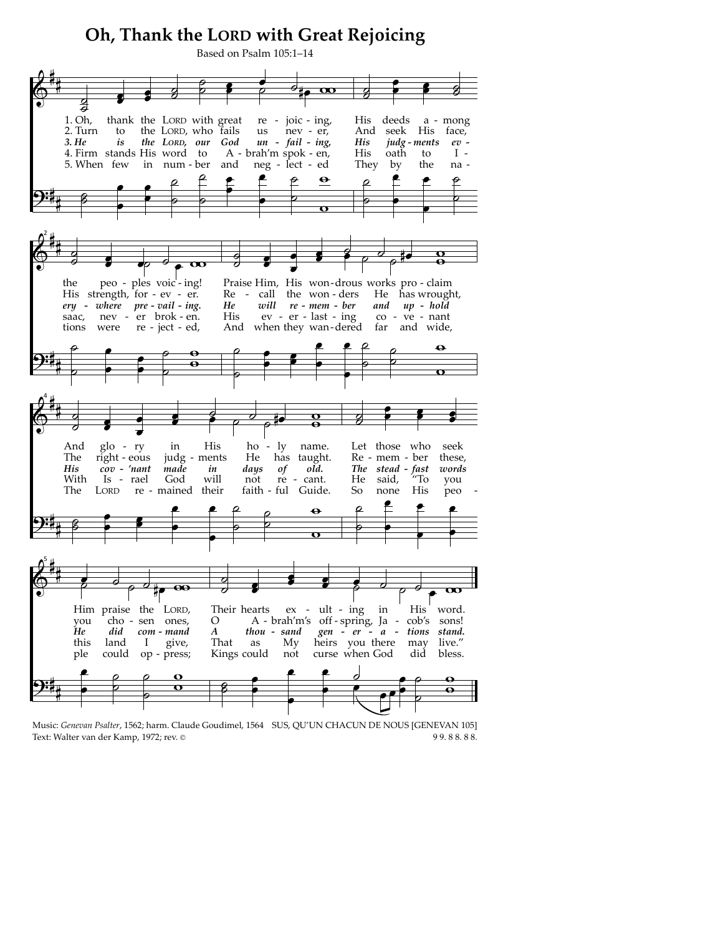## Oh, Thank the LORD with Great Rejoicing



Music: Genevan Psalter, 1562; harm. Claude Goudimel, 1564 SUS, QU'UN CHACUN DE NOUS [GENEVAN 105] 99.88.88. Text: Walter van der Kamp, 1972; rev. ©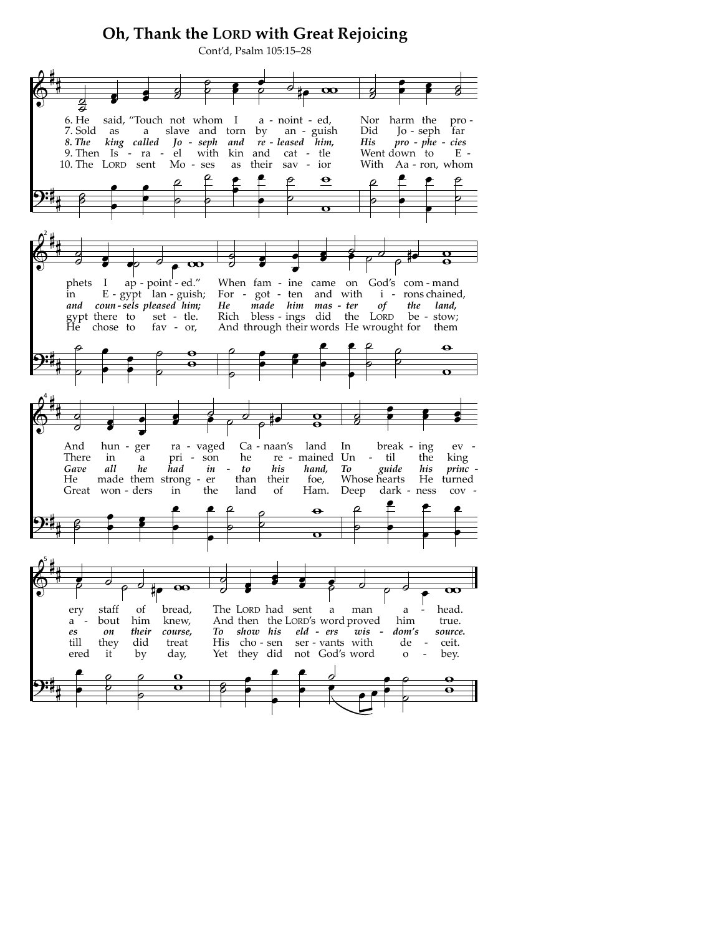## Oh, Thank the LORD with Great Rejoicing Cont'd, Psalm 105:15-28  $\overline{\mathbf{C}}$ र्व harm the pro-<br>Jo-seph far said, "Touch not whom I 6. He a - noint - ed, Nor harm the as a slave and torn by an - guish<br>king called Jo - seph and re - leased him, Did 7. Sold 8. The  $\it His$ *pro - phe - cies*<br>down to F 9. Then Is - ra - el with kin and cat - tle Went down to  $E -$ 10. The LORD sent Mo-ses as their sav - ior With Aa - ron, whom  $\mathbf \Theta$  $\bar{r}$ phets ap - point - ed." When fam - ine came on God's com - mand  $\mathbf I$ E - gypt <sup>1</sup>lan - guish; For - got - ten and with in *i* - rons chained, He made him mas - ter of the land,<br>Rich bless - ings did the LORD be - stow; and coun-sels pleased him; gypt there to<br>He chose to set - tle. fav - or, And through their words He wrought for them Ca - naan's And hun - ger ra - vaged land In break ing  $ev$  -There in  $a$ pri  $-$  son he re mained Un  $\overline{\phantom{a}}$ til the king Gave all he ĥad in to hand, To guide his princ his their foe, Whose hearts He He made them strong - er than turned Great won - ders Deep in the land of Ham. dark - ness  $cov \overline{\mathbf{e}}$  $\overline{\mathbf{C}}$ bread, The LORD had sent ery staff of a man  $\rm{a}$ head. knew, bout him And then the LORD's word proved him true.  $a$ es on their course, To show his eld - ers  $wis$ dom's source. they till  $\operatorname{did}$ His cho-sen ser - vants with treat  $de$ ceit. ered it by day, Yet they did not God's word  $\mathbf{o}$  $\overline{a}$ bey.